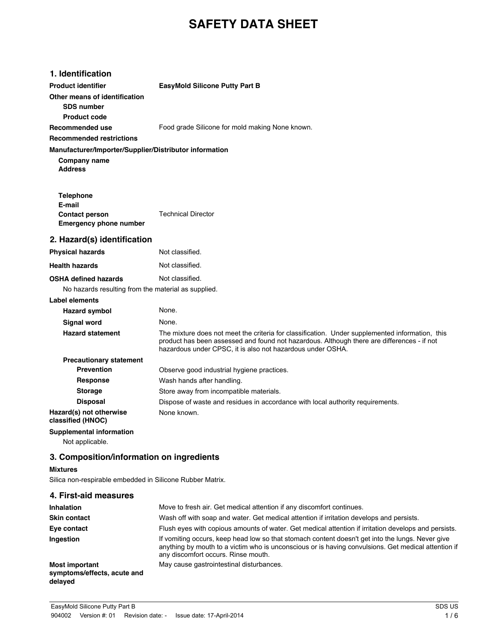# **SAFETY DATA SHEET**

| 1. Identification                                      |                                                                                                                                                                                                                                                             |
|--------------------------------------------------------|-------------------------------------------------------------------------------------------------------------------------------------------------------------------------------------------------------------------------------------------------------------|
| <b>Product identifier</b>                              | <b>EasyMold Silicone Putty Part B</b>                                                                                                                                                                                                                       |
| Other means of identification<br><b>SDS number</b>     |                                                                                                                                                                                                                                                             |
| <b>Product code</b>                                    |                                                                                                                                                                                                                                                             |
| Recommended use                                        | Food grade Silicone for mold making None known.                                                                                                                                                                                                             |
| <b>Recommended restrictions</b>                        |                                                                                                                                                                                                                                                             |
| Manufacturer/Importer/Supplier/Distributor information |                                                                                                                                                                                                                                                             |
| Company name<br><b>Address</b>                         |                                                                                                                                                                                                                                                             |
| <b>Telephone</b>                                       |                                                                                                                                                                                                                                                             |
| E-mail                                                 |                                                                                                                                                                                                                                                             |
| <b>Contact person</b><br><b>Emergency phone number</b> | <b>Technical Director</b>                                                                                                                                                                                                                                   |
| 2. Hazard(s) identification                            |                                                                                                                                                                                                                                                             |
| <b>Physical hazards</b>                                | Not classified.                                                                                                                                                                                                                                             |
| <b>Health hazards</b>                                  | Not classified.                                                                                                                                                                                                                                             |
| <b>OSHA defined hazards</b>                            | Not classified.                                                                                                                                                                                                                                             |
| No hazards resulting from the material as supplied.    |                                                                                                                                                                                                                                                             |
| <b>Label elements</b>                                  |                                                                                                                                                                                                                                                             |
| <b>Hazard symbol</b>                                   | None.                                                                                                                                                                                                                                                       |
| <b>Signal word</b>                                     | None.                                                                                                                                                                                                                                                       |
| <b>Hazard statement</b>                                | The mixture does not meet the criteria for classification. Under supplemented information, this<br>product has been assessed and found not hazardous. Although there are differences - if not<br>hazardous under CPSC, it is also not hazardous under OSHA. |
| <b>Precautionary statement</b>                         |                                                                                                                                                                                                                                                             |
| <b>Prevention</b>                                      | Observe good industrial hygiene practices.                                                                                                                                                                                                                  |
| <b>Response</b>                                        | Wash hands after handling.                                                                                                                                                                                                                                  |
| <b>Storage</b>                                         | Store away from incompatible materials.                                                                                                                                                                                                                     |
| <b>Disposal</b>                                        | Dispose of waste and residues in accordance with local authority requirements.                                                                                                                                                                              |
| Hazard(s) not otherwise<br>classified (HNOC)           | None known.                                                                                                                                                                                                                                                 |
| <b>Supplemental information</b>                        |                                                                                                                                                                                                                                                             |
| Not applicable.                                        |                                                                                                                                                                                                                                                             |

## **3. Composition/information on ingredients**

## **Mixtures**

Silica non-respirable embedded in Silicone Rubber Matrix.

| 4. First-aid measures                                           |                                                                                                                                                                                                                                                |
|-----------------------------------------------------------------|------------------------------------------------------------------------------------------------------------------------------------------------------------------------------------------------------------------------------------------------|
| <b>Inhalation</b>                                               | Move to fresh air. Get medical attention if any discomfort continues.                                                                                                                                                                          |
| <b>Skin contact</b>                                             | Wash off with soap and water. Get medical attention if irritation develops and persists.                                                                                                                                                       |
| Eye contact                                                     | Flush eyes with copious amounts of water. Get medical attention if irritation develops and persists.                                                                                                                                           |
| Ingestion                                                       | If vomiting occurs, keep head low so that stomach content doesn't get into the lungs. Never give<br>anything by mouth to a victim who is unconscious or is having convulsions. Get medical attention if<br>any discomfort occurs. Rinse mouth. |
| <b>Most important</b><br>symptoms/effects, acute and<br>delayed | May cause gastrointestinal disturbances.                                                                                                                                                                                                       |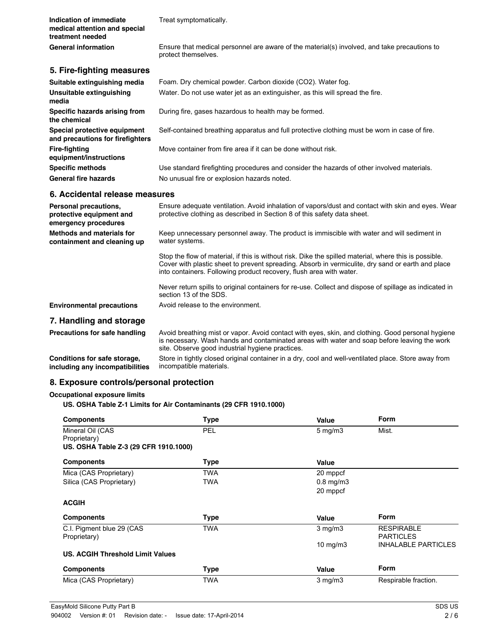| Indication of immediate<br>medical attention and special<br>treatment needed | Treat symptomatically.                                                                                                                                                                                      |
|------------------------------------------------------------------------------|-------------------------------------------------------------------------------------------------------------------------------------------------------------------------------------------------------------|
| <b>General information</b>                                                   | Ensure that medical personnel are aware of the material(s) involved, and take precautions to<br>protect themselves.                                                                                         |
| 5. Fire-fighting measures                                                    |                                                                                                                                                                                                             |
| Suitable extinguishing media                                                 | Foam. Dry chemical powder. Carbon dioxide (CO2). Water fog.                                                                                                                                                 |
| Unsuitable extinguishing<br>media                                            | Water. Do not use water jet as an extinguisher, as this will spread the fire.                                                                                                                               |
| Specific hazards arising from<br>the chemical                                | During fire, gases hazardous to health may be formed.                                                                                                                                                       |
| Special protective equipment<br>and precautions for firefighters             | Self-contained breathing apparatus and full protective clothing must be worn in case of fire.                                                                                                               |
| <b>Fire-fighting</b><br>equipment/instructions                               | Move container from fire area if it can be done without risk.                                                                                                                                               |
| <b>Specific methods</b>                                                      | Use standard firefighting procedures and consider the hazards of other involved materials.                                                                                                                  |
| <b>General fire hazards</b>                                                  | No unusual fire or explosion hazards noted.                                                                                                                                                                 |
| 6. Accidental release measures                                               |                                                                                                                                                                                                             |
| Personal precautions,<br>protective equipment and<br>emergency procedures    | Ensure adequate ventilation. Avoid inhalation of vapors/dust and contact with skin and eyes. Wear<br>protective clothing as described in Section 8 of this safety data sheet.                               |
| Methods and materials for<br>containment and cleaning up                     | Keep unnecessary personnel away. The product is immiscible with water and will sediment in<br>water systems.                                                                                                |
|                                                                              | Stop the flow of material, if this is without risk. Dike the spilled material, where this is possible.<br>Cover with plastic sheet to prevent spreading. Absorb in vermiculite, dry sand or earth and place |

into containers. Following product recovery, flush area with water.

Precautions for safe handling Avoid breathing mist or vapor. Avoid contact with eyes, skin, and clothing. Good personal hygiene

site. Observe good industrial hygiene practices.

Never return spills to original containers for re-use. Collect and dispose of spillage as indicated in

is necessary. Wash hands and contaminated areas with water and soap before leaving the work

Store in tightly closed original container in a dry, cool and well-ventilated place. Store away from

## **8. Exposure controls/personal protection**

**Environmental precautions** Avoid release to the environment.

#### **Occupational exposure limits**

**Conditions for safe storage, including any incompatibilities**

**7. Handling and storage**

#### **US. OSHA Table Z-1 Limits for Air Contaminants (29 CFR 1910.1000)**

section 13 of the SDS.

incompatible materials.

| <b>Components</b>                       | <b>Type</b> | Value            | <b>Form</b>                                    |
|-----------------------------------------|-------------|------------------|------------------------------------------------|
| Mineral Oil (CAS                        | PEL         | $5 \text{ mg/m}$ | Mist.                                          |
| Proprietary)                            |             |                  |                                                |
| US. OSHA Table Z-3 (29 CFR 1910.1000)   |             |                  |                                                |
| <b>Components</b>                       | <b>Type</b> | Value            |                                                |
| Mica (CAS Proprietary)                  | TWA         | 20 mppcf         |                                                |
| Silica (CAS Proprietary)                | <b>TWA</b>  | $0.8$ mg/m $3$   |                                                |
|                                         |             | 20 mppcf         |                                                |
| <b>ACGIH</b>                            |             |                  |                                                |
| <b>Components</b>                       | <b>Type</b> | Value            | <b>Form</b>                                    |
| C.I. Pigment blue 29 (CAS               | <b>TWA</b>  | $3$ mg/m $3$     | <b>RESPIRABLE</b>                              |
| Proprietary)                            |             |                  | <b>PARTICLES</b><br><b>INHALABLE PARTICLES</b> |
|                                         |             | 10 $mg/m3$       |                                                |
| <b>US. ACGIH Threshold Limit Values</b> |             |                  |                                                |
| <b>Components</b>                       | <b>Type</b> | Value            | <b>Form</b>                                    |
| Mica (CAS Proprietary)                  | <b>TWA</b>  | $3$ mg/m $3$     | Respirable fraction.                           |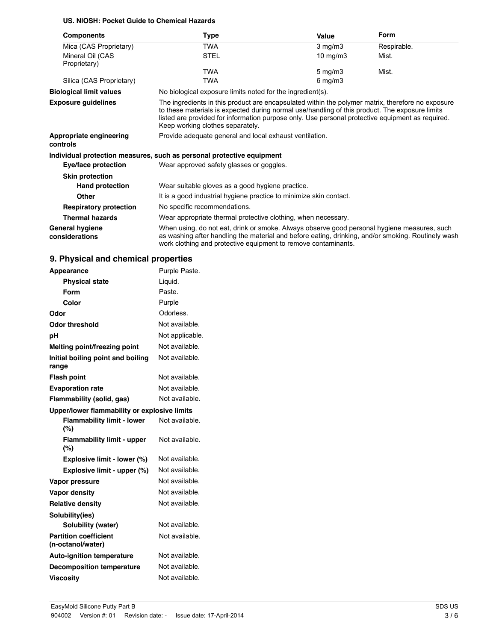## **US. NIOSH: Pocket Guide to Chemical Hazards**

| <b>Components</b>                        | Type                                                                                                                                                                                                                                                                                                                                        | Value             | <b>Form</b> |
|------------------------------------------|---------------------------------------------------------------------------------------------------------------------------------------------------------------------------------------------------------------------------------------------------------------------------------------------------------------------------------------------|-------------------|-------------|
| Mica (CAS Proprietary)                   | <b>TWA</b>                                                                                                                                                                                                                                                                                                                                  | $3$ mg/m $3$      | Respirable. |
| Mineral Oil (CAS<br>Proprietary)         | <b>STEL</b>                                                                                                                                                                                                                                                                                                                                 | $10 \text{ mg/m}$ | Mist.       |
|                                          | <b>TWA</b>                                                                                                                                                                                                                                                                                                                                  | $5 \text{ mg/m}$  | Mist.       |
| Silica (CAS Proprietary)                 | <b>TWA</b>                                                                                                                                                                                                                                                                                                                                  | $6$ mg/m $3$      |             |
| <b>Biological limit values</b>           | No biological exposure limits noted for the ingredient(s).                                                                                                                                                                                                                                                                                  |                   |             |
| <b>Exposure guidelines</b>               | The ingredients in this product are encapsulated within the polymer matrix, therefore no exposure<br>to these materials is expected during normal use/handling of this product. The exposure limits<br>listed are provided for information purpose only. Use personal protective equipment as required.<br>Keep working clothes separately. |                   |             |
| Appropriate engineering<br>controls      | Provide adequate general and local exhaust ventilation.                                                                                                                                                                                                                                                                                     |                   |             |
|                                          | Individual protection measures, such as personal protective equipment                                                                                                                                                                                                                                                                       |                   |             |
| Eye/face protection                      | Wear approved safety glasses or goggles.                                                                                                                                                                                                                                                                                                    |                   |             |
| <b>Skin protection</b>                   |                                                                                                                                                                                                                                                                                                                                             |                   |             |
| <b>Hand protection</b>                   | Wear suitable gloves as a good hygiene practice.                                                                                                                                                                                                                                                                                            |                   |             |
| Other                                    | It is a good industrial hygiene practice to minimize skin contact.                                                                                                                                                                                                                                                                          |                   |             |
| <b>Respiratory protection</b>            | No specific recommendations.                                                                                                                                                                                                                                                                                                                |                   |             |
| <b>Thermal hazards</b>                   | Wear appropriate thermal protective clothing, when necessary.                                                                                                                                                                                                                                                                               |                   |             |
| <b>General hygiene</b><br>considerations | When using, do not eat, drink or smoke. Always observe good personal hygiene measures, such<br>as washing after handling the material and before eating, drinking, and/or smoking. Routinely wash<br>work clothing and protective equipment to remove contaminants.                                                                         |                   |             |

## **9. Physical and chemical properties**

| Appearance                                        | Purple Paste.   |  |
|---------------------------------------------------|-----------------|--|
| <b>Physical state</b>                             | Liquid.         |  |
| Form                                              | Paste.          |  |
| Color                                             | Purple          |  |
| Odor                                              | Odorless.       |  |
| <b>Odor threshold</b>                             | Not available.  |  |
| рH                                                | Not applicable. |  |
| Melting point/freezing point                      | Not available.  |  |
| Initial boiling point and boiling<br>range        | Not available.  |  |
| <b>Flash point</b>                                | Not available.  |  |
| <b>Evaporation rate</b>                           | Not available.  |  |
| Flammability (solid, gas)                         | Not available.  |  |
| Upper/lower flammability or explosive limits      |                 |  |
| <b>Flammability limit - lower</b><br>(%)          | Not available.  |  |
| <b>Flammability limit - upper</b><br>(%)          | Not available.  |  |
| Explosive limit - lower (%)                       | Not available.  |  |
| Explosive limit - upper (%)                       | Not available.  |  |
| Vapor pressure                                    | Not available.  |  |
| <b>Vapor density</b>                              | Not available.  |  |
| <b>Relative density</b>                           | Not available.  |  |
| Solubility(ies)                                   |                 |  |
| Solubility (water)                                | Not available.  |  |
| <b>Partition coefficient</b><br>(n-octanol/water) | Not available.  |  |
| <b>Auto-ignition temperature</b>                  | Not available.  |  |
| <b>Decomposition temperature</b>                  | Not available.  |  |
| <b>Viscositv</b>                                  | Not available.  |  |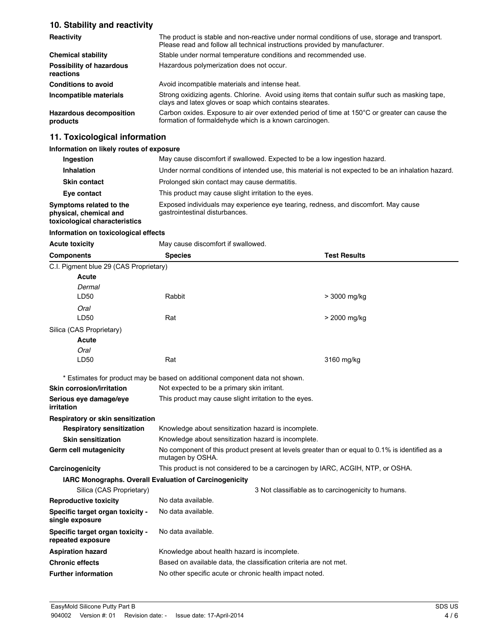## **10. Stability and reactivity**

| Reactivity                                   | The product is stable and non-reactive under normal conditions of use, storage and transport.<br>Please read and follow all technical instructions provided by manufacturer. |  |  |
|----------------------------------------------|------------------------------------------------------------------------------------------------------------------------------------------------------------------------------|--|--|
| <b>Chemical stability</b>                    | Stable under normal temperature conditions and recommended use.                                                                                                              |  |  |
| <b>Possibility of hazardous</b><br>reactions | Hazardous polymerization does not occur.                                                                                                                                     |  |  |
| <b>Conditions to avoid</b>                   | Avoid incompatible materials and intense heat.                                                                                                                               |  |  |
| Incompatible materials                       | Strong oxidizing agents. Chlorine. Avoid using items that contain sulfur such as masking tape,<br>clays and latex gloves or soap which contains stearates.                   |  |  |
| <b>Hazardous decomposition</b><br>products   | Carbon oxides. Exposure to air over extended period of time at 150°C or greater can cause the<br>formation of formaldehyde which is a known carcinogen.                      |  |  |

## **11. Toxicological information**

#### **Information on likely routes of exposure**

| Ingestion                                                                          | May cause discomfort if swallowed. Expected to be a low ingestion hazard.                                            |  |  |
|------------------------------------------------------------------------------------|----------------------------------------------------------------------------------------------------------------------|--|--|
| Inhalation                                                                         | Under normal conditions of intended use, this material is not expected to be an inhalation hazard.                   |  |  |
| <b>Skin contact</b>                                                                | Prolonged skin contact may cause dermatitis.                                                                         |  |  |
| Eye contact                                                                        | This product may cause slight irritation to the eyes.                                                                |  |  |
| Symptoms related to the<br>physical, chemical and<br>toxicological characteristics | Exposed individuals may experience eye tearing, redness, and discomfort. May cause<br>gastrointestinal disturbances. |  |  |

#### **Information on toxicological effects**

| <b>Acute toxicity</b>                                  | May cause discomfort if swallowed.                                                                                  |                                                     |  |
|--------------------------------------------------------|---------------------------------------------------------------------------------------------------------------------|-----------------------------------------------------|--|
| <b>Components</b>                                      | <b>Species</b>                                                                                                      | <b>Test Results</b>                                 |  |
| C.I. Pigment blue 29 (CAS Proprietary)                 |                                                                                                                     |                                                     |  |
| Acute                                                  |                                                                                                                     |                                                     |  |
| Dermal                                                 |                                                                                                                     |                                                     |  |
| LD50                                                   | Rabbit                                                                                                              | > 3000 mg/kg                                        |  |
| Oral                                                   |                                                                                                                     |                                                     |  |
| LD50                                                   | Rat                                                                                                                 | > 2000 mg/kg                                        |  |
| Silica (CAS Proprietary)                               |                                                                                                                     |                                                     |  |
| Acute                                                  |                                                                                                                     |                                                     |  |
| Oral                                                   |                                                                                                                     |                                                     |  |
| LD50                                                   | Rat                                                                                                                 | 3160 mg/kg                                          |  |
|                                                        | * Estimates for product may be based on additional component data not shown.                                        |                                                     |  |
| <b>Skin corrosion/irritation</b>                       | Not expected to be a primary skin irritant.                                                                         |                                                     |  |
| Serious eye damage/eye<br>irritation                   | This product may cause slight irritation to the eyes.                                                               |                                                     |  |
| Respiratory or skin sensitization                      |                                                                                                                     |                                                     |  |
| <b>Respiratory sensitization</b>                       | Knowledge about sensitization hazard is incomplete.                                                                 |                                                     |  |
| <b>Skin sensitization</b>                              | Knowledge about sensitization hazard is incomplete.                                                                 |                                                     |  |
| Germ cell mutagenicity                                 | No component of this product present at levels greater than or equal to 0.1% is identified as a<br>mutagen by OSHA. |                                                     |  |
| Carcinogenicity                                        | This product is not considered to be a carcinogen by IARC, ACGIH, NTP, or OSHA.                                     |                                                     |  |
| IARC Monographs. Overall Evaluation of Carcinogenicity |                                                                                                                     |                                                     |  |
| Silica (CAS Proprietary)                               |                                                                                                                     | 3 Not classifiable as to carcinogenicity to humans. |  |
| <b>Reproductive toxicity</b>                           | No data available.                                                                                                  |                                                     |  |
| Specific target organ toxicity -<br>single exposure    | No data available.                                                                                                  |                                                     |  |
| Specific target organ toxicity -<br>repeated exposure  | No data available.                                                                                                  |                                                     |  |
| <b>Aspiration hazard</b>                               | Knowledge about health hazard is incomplete.                                                                        |                                                     |  |
| <b>Chronic effects</b>                                 | Based on available data, the classification criteria are not met.                                                   |                                                     |  |
| <b>Further information</b>                             | No other specific acute or chronic health impact noted.                                                             |                                                     |  |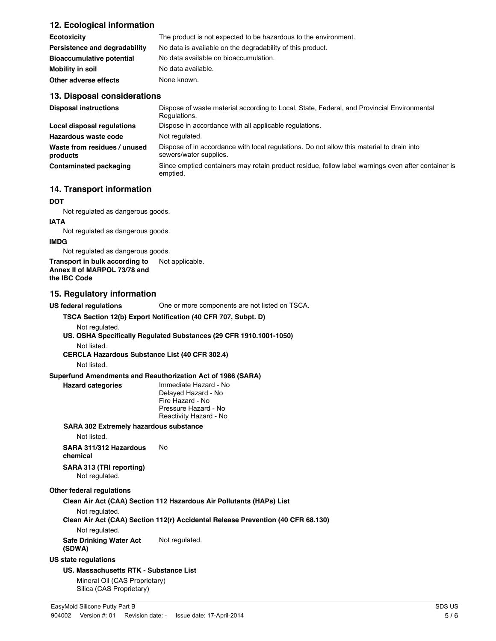## **12. Ecological information**

| <b>Ecotoxicity</b>               | The product is not expected to be hazardous to the environment. |
|----------------------------------|-----------------------------------------------------------------|
| Persistence and degradability    | No data is available on the degradability of this product.      |
| <b>Bioaccumulative potential</b> | No data available on bioaccumulation.                           |
| Mobility in soil                 | No data available.                                              |
| Other adverse effects            | None known.                                                     |

#### **13. Disposal considerations**

| <b>Disposal instructions</b>             | Dispose of waste material according to Local, State, Federal, and Provincial Environmental<br>Regulations.          |
|------------------------------------------|---------------------------------------------------------------------------------------------------------------------|
| Local disposal regulations               | Dispose in accordance with all applicable regulations.                                                              |
| Hazardous waste code                     | Not regulated.                                                                                                      |
| Waste from residues / unused<br>products | Dispose of in accordance with local regulations. Do not allow this material to drain into<br>sewers/water supplies. |
| Contaminated packaging                   | Since emptied containers may retain product residue, follow label warnings even after container is<br>emptied.      |

### **14. Transport information**

#### **DOT**

Not regulated as dangerous goods.

#### **IATA**

Not regulated as dangerous goods.

#### **IMDG**

Not regulated as dangerous goods.

**Transport in bulk according to** Not applicable. **Annex II of MARPOL 73/78 and**

**the IBC Code**

#### **15. Regulatory information**

**US federal regulations** One or more components are not listed on TSCA.

### **TSCA Section 12(b) Export Notification (40 CFR 707, Subpt. D)**

Not regulated.

**US. OSHA Specifically Regulated Substances (29 CFR 1910.1001-1050)** Not listed.

**CERCLA Hazardous Substance List (40 CFR 302.4)**

Not listed.

#### **Superfund Amendments and Reauthorization Act of 1986 (SARA)**

**Hazard categories** Immediate Hazard - No Delayed Hazard - No Fire Hazard - No Pressure Hazard - No Reactivity Hazard - No

### **SARA 302 Extremely hazardous substance**

Not listed.

**SARA 311/312 Hazardous chemical** No

**SARA 313 (TRI reporting)** Not regulated.

#### **Other federal regulations**

**Clean Air Act (CAA) Section 112 Hazardous Air Pollutants (HAPs) List**

Not regulated.

**Clean Air Act (CAA) Section 112(r) Accidental Release Prevention (40 CFR 68.130)**

Not regulated.

**Safe Drinking Water Act (SDWA)** Not regulated.

### **US state regulations**

**US. Massachusetts RTK - Substance List**

Mineral Oil (CAS Proprietary) Silica (CAS Proprietary)